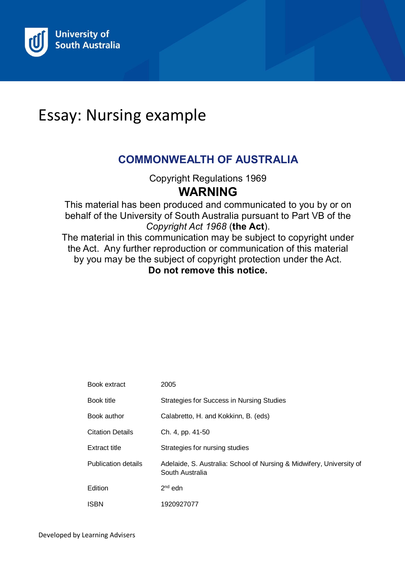

# Essay: Nursing example

# **COMMONWEALTH OF AUSTRALIA**

Copyright Regulations 1969

# **WARNING**

This material has been produced and communicated to you by or on behalf of the University of South Australia pursuant to Part VB of the *Copyright Act 1968* (**the Act**).

The material in this communication may be subject to copyright under the Act. Any further reproduction or communication of this material by you may be the subject of copyright protection under the Act. **Do not remove this notice.**

| Book extract               | 2005                                                                                    |
|----------------------------|-----------------------------------------------------------------------------------------|
| Book title                 | <b>Strategies for Success in Nursing Studies</b>                                        |
| Book author                | Calabretto, H. and Kokkinn, B. (eds)                                                    |
| Citation Details           | Ch. 4, pp. 41-50                                                                        |
| Extract title              | Strategies for nursing studies                                                          |
| <b>Publication details</b> | Adelaide, S. Australia: School of Nursing & Midwifery, University of<br>South Australia |
| Edition                    | $2nd$ edn                                                                               |
| ISBN                       | 1920927077                                                                              |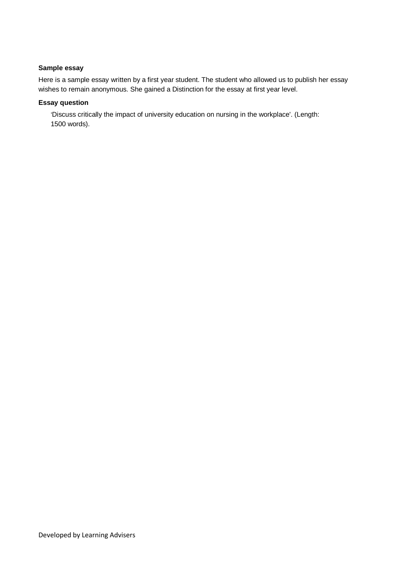### **Sample essay**

Here is a sample essay written by a first year student. The student who allowed us to publish her essay wishes to remain anonymous. She gained a Distinction for the essay at first year level.

### **Essay question**

'Discuss critically the impact of university education on nursing in the workplace'. (Length: 1500 words).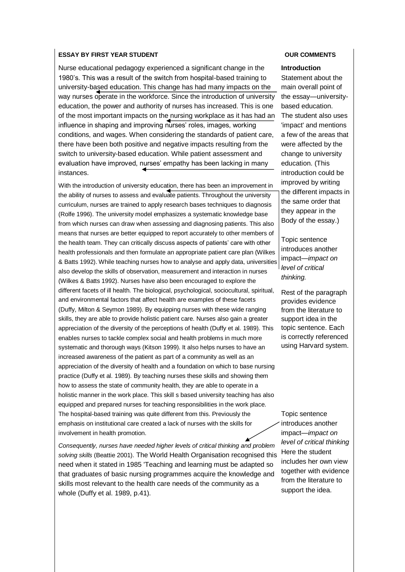#### **ESSAY BY FIRST YEAR STUDENT**

Nurse educational pedagogy experienced a significant change in the 1980's. This was a result of the switch from hospital-based training to university-based education. This change has had many impacts on the way nurses operate in the workforce. Since the introduction of university education, the power and authority of nurses has increased. This is one of the most important impacts on the nursing workplace as it has had an influence in shaping and improving nurses' roles, images, working conditions, and wages. When considering the standards of patient care, there have been both positive and negative impacts resulting from the switch to university-based education. While patient assessment and evaluation have improved, nurses' empathy has been lacking in many instances.

With the introduction of university education, there has been an improvement in the ability of nurses to assess and evaluate patients. Throughout the university curriculum, nurses are trained to apply research bases techniques to diagnosis (Rolfe 1996). The university model emphasizes a systematic knowledge base from which nurses can draw when assessing and diagnosing patients. This also means that nurses are better equipped to report accurately to other members of the health team. They can critically discuss aspects of patients' care with other health professionals and then formulate an appropriate patient care plan (Wilkes & Batts 1992). While teaching nurses how to analyse and apply data, universities also develop the skills of observation, measurement and interaction in nurses (Wilkes & Batts 1992). Nurses have also been encouraged to explore the different facets of ill health. The biological, psychological, sociocultural, spiritual, and environmental factors that affect health are examples of these facets (Duffy, Milton & Seymon 1989). By equipping nurses with these wide ranging skills, they are able to provide holistic patient care. Nurses also gain a greater appreciation of the diversity of the perceptions of health (Duffy et al. 1989). This enables nurses to tackle complex social and health problems in much more systematic and thorough ways (Kitson 1999). It also helps nurses to have an increased awareness of the patient as part of a community as well as an appreciation of the diversity of health and a foundation on which to base nursing practice (Duffy et al. 1989). By teaching nurses these skills and showing them how to assess the state of community health, they are able to operate in a holistic manner in the work place. This skill s based university teaching has also equipped and prepared nurses for teaching responsibilities in the work place. The hospital-based training was quite different from this. Previously the emphasis on institutional care created a lack of nurses with the skills for involvement in health promotion.

*Consequently, nurses have needed higher levels of critical thinking and problem solving skills* (Beattie 2001). The World Health Organisation recognised this need when it stated in 1985 'Teaching and learning must be adapted so that graduates of basic nursing programmes acquire the knowledge and skills most relevant to the health care needs of the community as a whole (Duffy et al. 1989, p.41).

#### **OUR COMMENTS**

#### **Introduction**

Statement about the main overall point of the essay—universitybased education. The student also uses 'impact' and mentions a few of the areas that were affected by the change to university education. (This introduction could be improved by writing the different impacts in the same order that they appear in the Body of the essay.)

Topic sentence introduces another impact—*impact on level of critical thinking.*

Rest of the paragraph provides evidence from the literature to support idea in the topic sentence. Each is correctly referenced using Harvard system.

Topic sentence introduces another impact—*impact on level of critical thinking* Here the student includes her own view together with evidence from the literature to support the idea.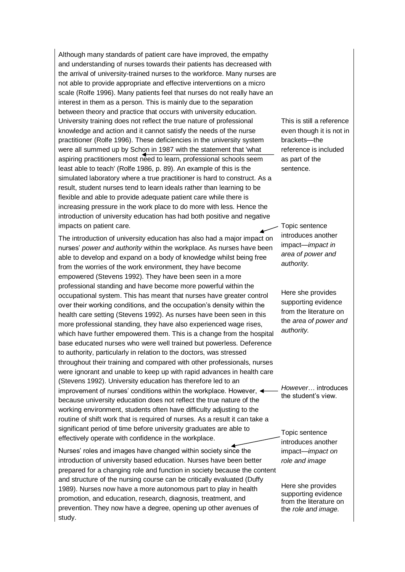Although many standards of patient care have improved, the empathy and understanding of nurses towards their patients has decreased with the arrival of university-trained nurses to the workforce. Many nurses are not able to provide appropriate and effective interventions on a micro scale (Rolfe 1996). Many patients feel that nurses do not really have an interest in them as a person. This is mainly due to the separation between theory and practice that occurs with university education. University training does not reflect the true nature of professional knowledge and action and it cannot satisfy the needs of the nurse practitioner (Rolfe 1996). These deficiencies in the university system were all summed up by Schon in 1987 with the statement that 'what aspiring practitioners most need to learn, professional schools seem least able to teach' (Rolfe 1986, p. 89). An example of this is the simulated laboratory where a true practitioner is hard to construct. As a result, student nurses tend to learn ideals rather than learning to be flexible and able to provide adequate patient care while there is increasing pressure in the work place to do more with less. Hence the introduction of university education has had both positive and negative impacts on patient care.

The introduction of university education has also had a major impact on nurses' *power and authority* within the workplace*.* As nurses have been able to develop and expand on a body of knowledge whilst being free from the worries of the work environment, they have become empowered (Stevens 1992). They have been seen in a more professional standing and have become more powerful within the occupational system. This has meant that nurses have greater control over their working conditions, and the occupation's density within the health care setting (Stevens 1992). As nurses have been seen in this more professional standing, they have also experienced wage rises, which have further empowered them. This is a change from the hospital base educated nurses who were well trained but powerless. Deference to authority, particularly in relation to the doctors, was stressed throughout their training and compared with other professionals, nurses were ignorant and unable to keep up with rapid advances in health care (Stevens 1992). University education has therefore led to an improvement of nurses' conditions within the workplace. However, because university education does not reflect the true nature of the working environment, students often have difficulty adjusting to the routine of shift work that is required of nurses. As a result it can take a significant period of time before university graduates are able to effectively operate with confidence in the workplace.

Nurses' roles and images have changed within society since the introduction of university based education. Nurses have been better prepared for a changing role and function in society because the content and structure of the nursing course can be critically evaluated (Duffy 1989). Nurses now have a more autonomous part to play in health promotion, and education, research, diagnosis, treatment, and prevention. They now have a degree, opening up other avenues of study.

This is still a reference even though it is not in brackets—the reference is included as part of the sentence.

Topic sentence introduces another impact—*impact in area of power and authority.*

Here she provides supporting evidence from the literature on the *area of power and authority.*

*However*… introduces the student's view.

Topic sentence introduces another impact—*impact on role and image*

Here she provides supporting evidence from the literature on the *role and image.*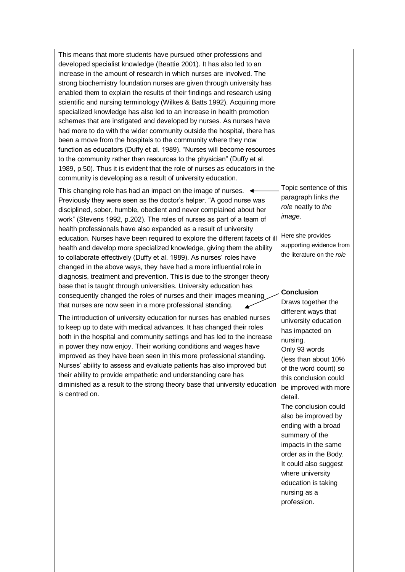This means that more students have pursued other professions and developed specialist knowledge (Beattie 2001). It has also led to an increase in the amount of research in which nurses are involved. The strong biochemistry foundation nurses are given through university has enabled them to explain the results of their findings and research using scientific and nursing terminology (Wilkes & Batts 1992). Acquiring more specialized knowledge has also led to an increase in health promotion schemes that are instigated and developed by nurses. As nurses have had more to do with the wider community outside the hospital, there has been a move from the hospitals to the community where they now function as educators (Duffy et al. 1989). "Nurses will become resources to the community rather than resources to the physician" (Duffy et al. 1989, p.50). Thus it is evident that the role of nurses as educators in the community is developing as a result of university education.

This changing role has had an impact on the image of nurses.  $\triangleleft$ Previously they were seen as the doctor's helper. "A good nurse was disciplined, sober, humble, obedient and never complained about her work" (Stevens 1992, p.202). The roles of nurses as part of a team of health professionals have also expanded as a result of university education. Nurses have been required to explore the different facets of ill health and develop more specialized knowledge, giving them the ability to collaborate effectively (Duffy et al. 1989). As nurses' roles have changed in the above ways, they have had a more influential role in diagnosis, treatment and prevention. This is due to the stronger theory base that is taught through universities. University education has consequently changed the roles of nurses and their images meaning that nurses are now seen in a more professional standing.

The introduction of university education for nurses has enabled nurses to keep up to date with medical advances. It has changed their roles both in the hospital and community settings and has led to the increase in power they now enjoy. Their working conditions and wages have improved as they have been seen in this more professional standing. Nurses' ability to assess and evaluate patients has also improved but their ability to provide empathetic and understanding care has diminished as a result to the strong theory base that university education is centred on.

Topic sentence of this paragraph links *the role* neatly to *the image*.

Here she provides supporting evidence from the literature on the *role*

#### **Conclusion**

Draws together the different ways that university education has impacted on nursing. Only 93 words (less than about 10% of the word count) so this conclusion could be improved with more detail. The conclusion could also be improved by ending with a broad summary of the impacts in the same order as in the Body. It could also suggest where university education is taking nursing as a profession.